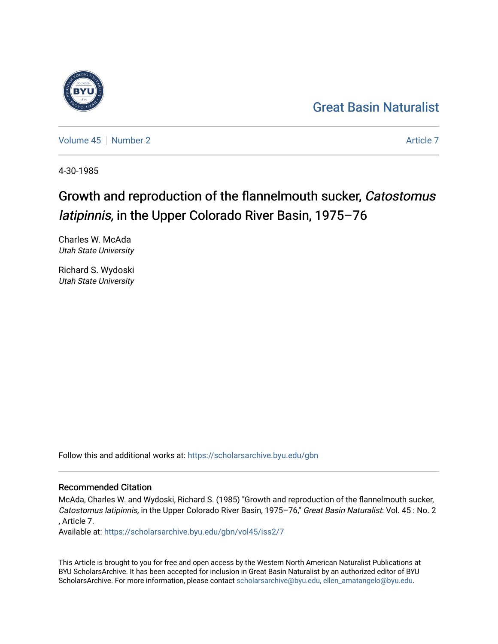## [Great Basin Naturalist](https://scholarsarchive.byu.edu/gbn)

[Volume 45](https://scholarsarchive.byu.edu/gbn/vol45) | [Number 2](https://scholarsarchive.byu.edu/gbn/vol45/iss2) [Article 7](https://scholarsarchive.byu.edu/gbn/vol45/iss2/7) Article 7 Article 7

4-30-1985

# Growth and reproduction of the flannelmouth sucker, Catostomus latipinnis, in the Upper Colorado River Basin, 1975–76

Charles W. McAda Utah State University

Richard S. Wydoski Utah State University

Follow this and additional works at: [https://scholarsarchive.byu.edu/gbn](https://scholarsarchive.byu.edu/gbn?utm_source=scholarsarchive.byu.edu%2Fgbn%2Fvol45%2Fiss2%2F7&utm_medium=PDF&utm_campaign=PDFCoverPages) 

### Recommended Citation

McAda, Charles W. and Wydoski, Richard S. (1985) "Growth and reproduction of the flannelmouth sucker, Catostomus latipinnis, in the Upper Colorado River Basin, 1975–76," Great Basin Naturalist: Vol. 45 : No. 2 , Article 7.

Available at: [https://scholarsarchive.byu.edu/gbn/vol45/iss2/7](https://scholarsarchive.byu.edu/gbn/vol45/iss2/7?utm_source=scholarsarchive.byu.edu%2Fgbn%2Fvol45%2Fiss2%2F7&utm_medium=PDF&utm_campaign=PDFCoverPages)

This Article is brought to you for free and open access by the Western North American Naturalist Publications at BYU ScholarsArchive. It has been accepted for inclusion in Great Basin Naturalist by an authorized editor of BYU ScholarsArchive. For more information, please contact [scholarsarchive@byu.edu, ellen\\_amatangelo@byu.edu.](mailto:scholarsarchive@byu.edu,%20ellen_amatangelo@byu.edu)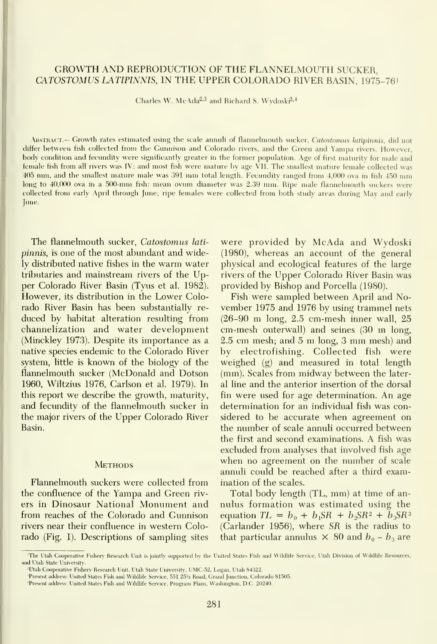#### GROWTH AND REPRODUCTION OF THE FLANNELMOUTH SUCKER, CATOSTOMUS LATIPINNIS, IN THE UPPER COLORADO RIVER BASIN, 1975-76'

Charles W. McAda<sup>2,3</sup> and Richard S. Wydoski<sup>2,4</sup>

ABSTRACT.— Growth rates estimated using the scale annuli of flannelmouth sucker, Catostomus latipinnis, did not differ between fish collected from the Gunnison and Colorado rivers, and the Green and Yampa rivers. However, body condition and fecundity were significantly greater in the former population. Age of first maturity for male and female fish from all rivers was IV; and most fish were mature by age VII. The smallest mature female collected was <sup>405</sup> mm, and the smallest mature male was <sup>391</sup> mm total length. Fecundity ranged from 4,000 ova in fish <sup>450</sup> mm long to 40,000 ova in <sup>a</sup> 500-mm fish: mean ovum diameter was 2.39 mm. Ripe male flannelmouth suckers were collected from early April through June; ripe females were collected from both study areas during May and early June.

The flannelmouth sucker, Catostomus lati pinnis, is one of the most abundant and widely distributed native fishes in the warm water tributaries and mainstream rivers of the Upper Colorado River Basin (Tyus et al. 1982). However, its distribution in the Lower Colorado River Basin has been substantially re duced by habitat alteration resulting from channelization and water development (Minckley 1973). Despite its importance as a native species endemic to the Colorado River system, little is known of the biology of the flannelmouth sucker (McDonald and Dotson 1960, Wiltzius 1976, Carlson et al. 1979). In this report we describe the growth, maturity, and fecundity of the flannelmouth sucker in the major rivers of the Upper Colorado River Basin.

#### **METHODS**

Flannelmouth suckers were collected from the confluence of the Yampa and Green riv ers in Dinosaur National Monument and from reaches of the Colorado and Gunnison rivers near their confluence in western Colorado (Fig. 1). Descriptions of sampling sites

were provided by McAda and Wydoski (1980), whereas an account of the general physical and ecological features of the large rivers of the Upper Colorado River Basin was provided by Bishop and Porcella (1980).

Fish were sampled between April and No vember 1975 and 1976 by using trammel nets (26-90 m long, 2.5 cm-mesh inner wall, <sup>25</sup> cm-mesh outerwall) and seines (30 m long, 2.5 cm mesh; and <sup>5</sup> m long, <sup>3</sup> mm mesh) and by electrofishing. Collected fish were weighed (g) and measured in total length (mm). Scales from midway between the lateral line and the anterior insertion of the dorsal fin were used for age determination. An age determination for an individual fish was considered to be accurate when agreement on the number of scale annuli occurred between the first and second examinations. A fish was excluded from analyses that involved fish age when no agreement on the number of scale annuli could be reached after a third examination of the scales.

Total body length (TL, mm) at time of an nulus formation was estimated using the equation  $TL = b_0 + b_1SR + b_2SR^2 + b_3SR^3$ (Carlander 1956), where SR is the radius to that particular annulus  $\times$  80 and  $b_0 - b_3$  are

<sup>&#</sup>x27;The Utah Cooperative Fishery Research Unit isjointly supported by the United States Fish and Wildhfe Service. I'tah Division of Wildhfe Resources, and Utah State University.

Utah Cooperative Fishery Research Unit, Utah State University, UMC-52, Logan, Utah 84322.

<sup>&#</sup>x27;Present address: United States Fish and Wildhfe Service, 551 25% Road, Grand Junction, Colorado 81505. 'Present address; United States Fish and Wildlife Service, Program Plans, Washington, D.C. 20240.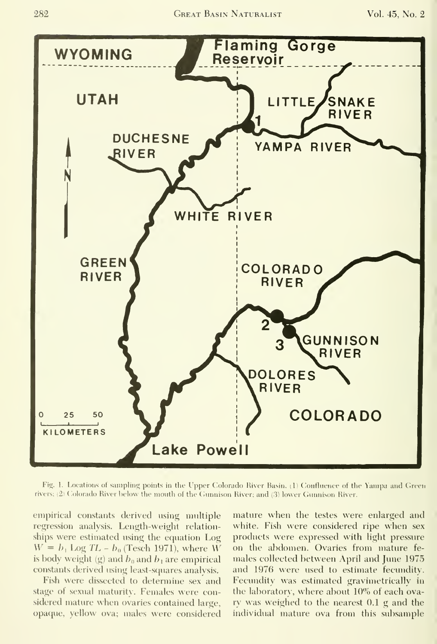

Fig. 1. Locations of sampling points in the Upper Colorado River Basin,  $\langle \rangle$ rivers; (2) Colorado River below the mouth of the Gunnison River; and (3) lower Gunnison River.  $\,$ 

empirical constants derived using multiple regression analysis. Length-weight relation ships were estimated using the equation Log  $W = b_1$  Log TL –  $b_0$  (Tesch 1971), where W is body weight (g) and  $b_0$  and  $b_1$  are empirical constants derived using least-squares analysis.

Fish were dissected to determine sex and stage of sexual maturity. Females were considered mature when ovaries contained large, opaque, yellow ova; males were considered

mature when the testes were enlarged and white. Fish were considered ripe when sex products were expressed with light pressure on the abdomen. Ovaries from mature fe males collected between April and June 1975 and 1976 were used to estimate fecundity. Fecundity was estimated gravimetrically in the laboratory, where about 10% of each ovary was weighed to the nearest 0.1 g and the individual mature ova from this subsample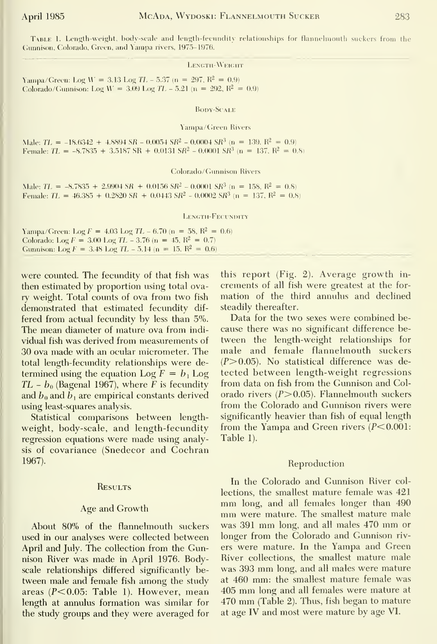#### LENGTH-WEIGHT

Yampa/Green: Log W = 3.13 Log TL - 5.37 (n = 297,  $R^2 = 0.9$ ) Colorado/Gunnison: Log  $W = 3.09$  Log  $TL - 5.21$  (n = 292,  $R^2 = 0.9$ )

BODY-SCALE

Yampa/Green Rivers

Male:  $TL = -18.6342 + 4.8894 SR - 0.0054 SR^2 - 0.0004 SR^3 (n = 139, R^2 = 0.9)$ Female:  $TL = -8.7835 + 3.5187 \text{ SR} + 0.0131 \text{ SR}^2 - 0.0001 \text{ SR}^3$  (n = 137, R<sup>2</sup> = 0.8)

Colorado/Gunnison Rivers

Male:  $TL = -8.7835 + 2.9904 SR + 0.0156 SR^2 - 0.0001 SR^3$  (n = 158, R<sup>2</sup> = 0.8) Female:  $TL = 46.385 + 0.2820$  SR + 0.0443 SR<sup>2</sup> - 0.0002 SR<sup>3</sup> (n = 137, R<sup>2</sup> = 0.8)

LENGTH-FECUNDITY

| Yampa/Green: Log $F = 4.03$ Log $TL - 6.70$ (n = 58, $R^2 = 0.6$ ) |
|--------------------------------------------------------------------|
| Colorado: Log $F = 3.00$ Log $TL - 3.76$ (n = 45, $R^2 = 0.7$ )    |
| Gunnison: Log $F = 3.48$ Log $TL - 5.14$ (n = 15, $R^2 = 0.6$ )    |

were counted. The fecundity of that fish was then estimated by proportion using total ovary weight. Total counts of ova from two fish demonstrated that estimated fecundity dif fered from actual fecundity by less than 5%. The mean diameter of mature ova from indi vidual fish was derived from measurements of 30 ova made with an ocular micrometer. The total length-fecundity relationships were de termined using the equation Log  $F = b_1$  Log TL -  $b_0$  (Bagenal 1967), where F is fecundity and  $b_0$  and  $\bar{b}_1$  are empirical constants derived using least-squares analysis.

Statistical comparisons between length weight, body-scale, and length-fecundity regression equations were made using analysis of covariance (Snedecor and Cochran 1967).

#### **RESULTS**

#### Age and Growth

About 80% of the flannelmouth suckers used in our analyses were collected between April and July. The collection from the Gunnison River was made in April 1976. Bodyscale relationships differed significantly be tween male and female fish among the study areas  $(P<0.05$ : Table 1). However, mean length at annulus formation was similar for the study groups and they were averaged for this report (Fig. 2). Average growth in crements of all fish were greatest at the for mation of the third annulus and declined steadily thereafter.

Data for the two sexes were combined be cause there was no significant difference be tween the length-weight relationships for male and female flannelmouth suckers  $(P>0.05)$ . No statistical difference was detected between length-weight regressions from data on fish from the Gunnison and Col orado rivers  $(P>0.05)$ . Flannelmouth suckers from the Colorado and Gunnison rivers were significantly heavier than fish of equal length from the Yampa and Green rivers  $(P<0.001$ : Table 1).

#### Reproduction

In the Colorado and Gunnison River collections, the smallest mature female was 421 mm long, and all females longer than 490 mm were mature. The smallest mature male was <sup>391</sup> mm long, and all males <sup>470</sup> mm or longer from the Colorado and Gunnison riv ers were mature. In the Yampa and Green River collections, the smallest mature male was <sup>393</sup> mm long, and all males were mature at 460 mm: the smallest mature female was <sup>405</sup> mm long and all females were mature at <sup>470</sup> mm (Table 2). Thus, fish began to mature at age IV and most were mature by age VI.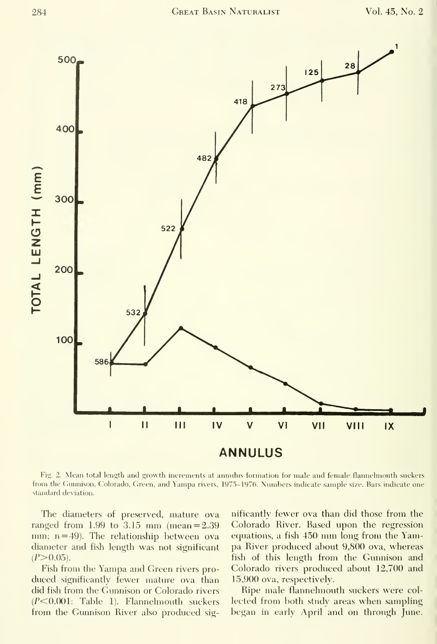

Fig. 2. Mean total length and growth increments at annulus formation for male and female flannelmouth suckers from the Gunnison, Colorado, Green, and Yampa rivers, 1975-1976. Numbers indicate sample size. Bars indicate one standard deviation.

The diameters of preserved, mature ova ranged from  $1.99$  to  $3.15$  mm (mean =  $2.39$ ) mm;  $n = 49$ ). The relationship between ova diameter and fish length was not significant  $(P>0.05)$ .

Fish from the Yampa and Green rivers pro duced significantly fewer matiue ova than did fish from the Gunnison or Colorado rivers  $(P<0.001$ : Table 1). Flannelmouth suckers from the Gunnison River also produced significantly fewer ova than did those from the Colorado River. Based upon the regression equations, <sup>a</sup> fish <sup>450</sup> mm long from the Yampa River produced about 9,800 ova, whereas fish of this length from the Gunnison and Colorado rivers produced about 12,700 and 15,900 ova, respectively.

Ripe male flannelmouth suckers were col lected from both study areas when sampling began in early April and on through June.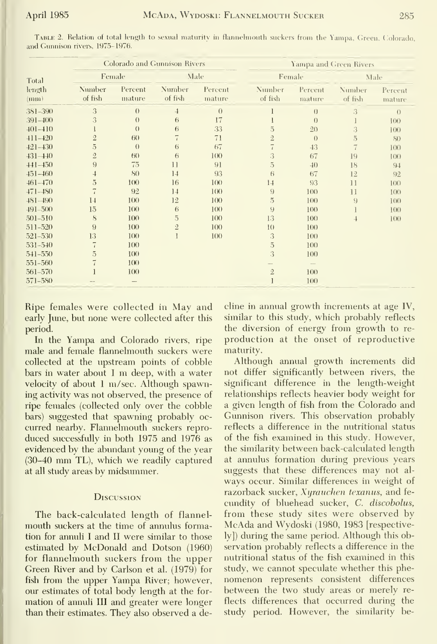| Total<br>length<br>(mm) | <b>Colorado and Gunnison Rivers</b> |                   |                   |                   | Yampa and Green Rivers |                          |                   |                   |
|-------------------------|-------------------------------------|-------------------|-------------------|-------------------|------------------------|--------------------------|-------------------|-------------------|
|                         | Female                              |                   | Male              |                   | Female                 |                          | Male              |                   |
|                         | Number<br>of fish                   | Percent<br>mature | Number<br>of fish | Percent<br>mature | Number<br>of fish      | Percent<br>mature        | Number<br>of fish | Percent<br>mature |
| 381-390                 | 3                                   | $\left( \right)$  | $\overline{4}$    | $\theta$          |                        | $\theta$                 | 3                 | $\left( \right)$  |
| $391 - 400$             | 3                                   | $\theta$          | 6                 | 17                |                        | $\theta$                 |                   | 100               |
| $401 - 410$             |                                     | $\theta$          | 6                 | 33                | $\overline{5}$         | 2()                      | 3                 | 100               |
| $411 - 420$             | $\overline{2}$                      | 60                | ï                 | 71                | $\overline{2}$         | $\left( \right)$         | 5                 | 80                |
| $421 - 430$             | $\overline{5}$                      | $\theta$          | 6                 | 67                |                        | 43                       | $\overline{7}$    | 100               |
| $431 - 440$             | $\overline{2}$                      | (5()              | 6                 | 100               | 3                      | 67                       | 19                | 1()()             |
| $441 - 450$             | 9                                   | 75                | $\overline{11}$   | 91                | $\overline{5}$         | $-40$                    | 18                | $9+$              |
| $451 - 460$             | $\overline{1}$                      | 80                | 14                | 93                | 6                      | 67                       | 12                | 92                |
| $461 - 470$             | $\overline{5}$                      | 100               | 16                | 100               | 14                     | 93                       | $\mathbf{1}$      | 100               |
| $471 - 480$             |                                     | 92                | 14                | 100               | 9                      | 100                      | 11                | 100               |
| $481 - 490$             | 14                                  | 100               | 12                | 100               | $\overline{5}$         | 100                      | 9                 | 100               |
| $491 - 500$             | 15                                  | 100               | 6                 | 100               | 9                      | 100                      |                   | 100               |
| 501-510                 | 8                                   | 100               | $\overline{5}$    | 100               | 13                     | 100                      | $\overline{1}$    | $100 -$           |
| 511-520                 | 9                                   | 100               | $\mathfrak{2}$    | 100               | 1()                    | 100                      |                   |                   |
| 521-530                 | 13                                  | 100               |                   | 100               | 3                      | 100                      |                   |                   |
| 531-540                 | 7                                   | 100               |                   |                   | $\overline{5}$         | 100                      |                   |                   |
| $541 - 550$             | 5                                   | 100               |                   |                   | 3                      | 100                      |                   |                   |
| 551-560                 |                                     | 100               |                   |                   |                        | $\overline{\phantom{a}}$ |                   |                   |
| 561-570                 |                                     | 100               |                   |                   | $\overline{2}$         | 100                      |                   |                   |
| 571-580                 |                                     |                   |                   |                   |                        | 100                      |                   |                   |

TABLE 2. Relation of total length to sexual maturity in flannelmouth suckers from the Yampa, Green, Colorado, and Gunnison rivers, 1975–1976.

Ripe females were collected in May and early June, but none were collected after this period.

In the Yampa and Colorado rivers, ripe male and female flannelmouth suckers were collected at the upstream points of cobble bars in water about I m deep, with a water velocity of about 1 m/sec. Although spawning activity was not observed, the presence of ripe females (collected only over the cobble bars) suggested that spawning probably occurred nearby. Flannelmouth suckers reproduced successfully in both 1975 and 1976 as evidenced by the abundant young of the year (30-40 mm TL), which we readily captured at all study areas by midsummer.

#### **DISCUSSION**

The back-calculated length of flannelmouth suckers at the time of annulus formation for annuli I and II were similar to those estimated by McDonald and Dotson (1960) for flannelmouth suckers from the upper Green River and by Carlson et al. (1979) for fish from the upper Yampa River; however, our estimates of total body length at the formation of annuli III and greater were longer than their estimates. They also observed a decline in annual growth increments at age IV, similar to this study, which probably reflects the diversion of energy from growth to reproduction at the onset of reproductive maturity.

Although annual growth increments did not differ significantly between rivers, the significant difference in the length-weight relationships reflects heavier body weight for a given length of fish from the Colorado and Gunnison rivers. This observation probably reflects a difference in the nutritional status of the fish examined in this study. However, the similarity between back-calculated length at annulus formation during previous years suggests that these differences may not always occur. Similar differences in weight of razorback sucker, Xyrauchen texanus, and fecundity of bluehead sucker, C. discobolus, from these study sites were observed by McAda and Wydoski (1980, 1983 [respectively]) during the same period. Although this observation probably reflects a difference in the nutritional status of the fish examined in this study, we cannot speculate whether this phenomenon represents consistent differences between the two study areas or merely reflects differences that occurred during the study period. However, the similarity be